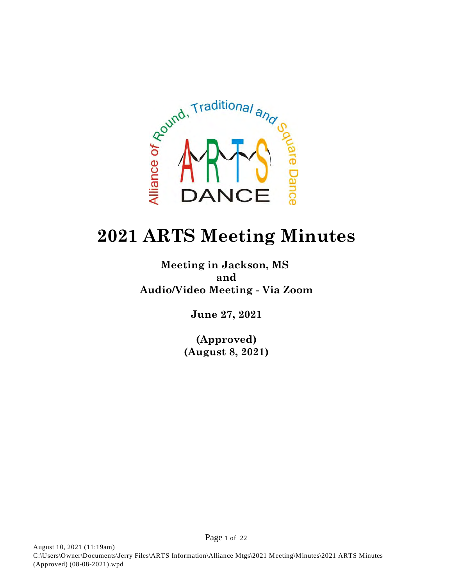

# **2021 ARTS Meeting Minutes**

**Meeting in Jackson, MS and Audio/Video Meeting - Via Zoom**

**June 27, 2021**

**(Approved) (August 8, 2021)**

Page 1 of 22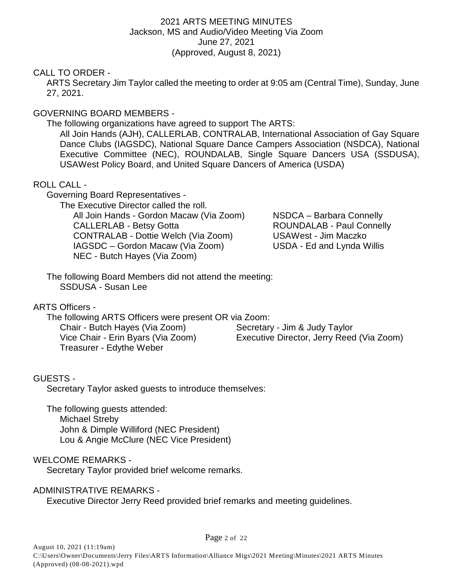#### 2021 ARTS MEETING MINUTES Jackson, MS and Audio/Video Meeting Via Zoom June 27, 2021 (Approved, August 8, 2021)

## CALL TO ORDER -

ARTS Secretary Jim Taylor called the meeting to order at 9:05 am (Central Time), Sunday, June 27, 2021.

## GOVERNING BOARD MEMBERS -

The following organizations have agreed to support The ARTS:

All Join Hands (AJH), CALLERLAB, CONTRALAB, International Association of Gay Square Dance Clubs (IAGSDC), National Square Dance Campers Association (NSDCA), National Executive Committee (NEC), ROUNDALAB, Single Square Dancers USA (SSDUSA), USAWest Policy Board, and United Square Dancers of America (USDA)

## ROLL CALL -

Governing Board Representatives -

The Executive Director called the roll. All Join Hands - Gordon Macaw (Via Zoom) NSDCA - Barbara Connelly CALLERLAB - Betsy Gotta ROUNDALAB - Paul Connelly CONTRALAB - Dottie Welch (Via Zoom) USAWest - Jim Maczko IAGSDC – Gordon Macaw (Via Zoom) USDA - Ed and Lynda Willis NEC - Butch Hayes (Via Zoom)

The following Board Members did not attend the meeting: SSDUSA - Susan Lee

## ARTS Officers -

The following ARTS Officers were present OR via Zoom: Chair - Butch Hayes (Via Zoom) Secretary - Jim & Judy Taylor

Treasurer - Edythe Weber

Vice Chair - Erin Byars (Via Zoom) Executive Director, Jerry Reed (Via Zoom)

## GUESTS -

Secretary Taylor asked guests to introduce themselves:

The following guests attended: Michael Streby John & Dimple Williford (NEC President) Lou & Angie McClure (NEC Vice President)

## WELCOME REMARKS -

Secretary Taylor provided brief welcome remarks.

#### ADMINISTRATIVE REMARKS -

Executive Director Jerry Reed provided brief remarks and meeting guidelines.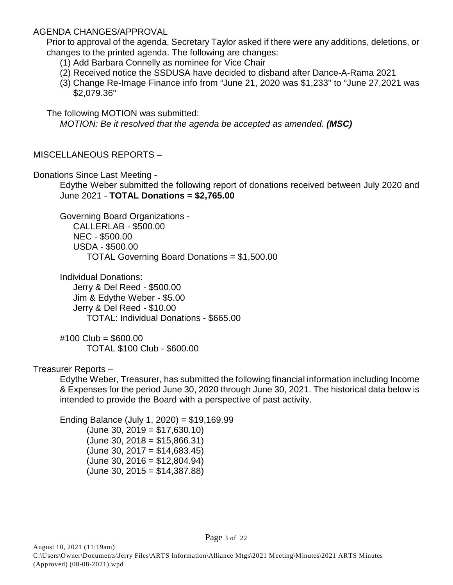#### AGENDA CHANGES/APPROVAL

Prior to approval of the agenda, Secretary Taylor asked if there were any additions, deletions, or changes to the printed agenda. The following are changes:

- (1) Add Barbara Connelly as nominee for Vice Chair
- (2) Received notice the SSDUSA have decided to disband after Dance-A-Rama 2021
- (3) Change Re-Image Finance info from "June 21, 2020 was \$1,233" to "June 27,2021 was \$2,079.36"

The following MOTION was submitted:

*MOTION: Be it resolved that the agenda be accepted as amended. (MSC)*

## MISCELLANEOUS REPORTS –

Donations Since Last Meeting -

Edythe Weber submitted the following report of donations received between July 2020 and June 2021 - **TOTAL Donations = \$2,765.00**

Governing Board Organizations - CALLERLAB - \$500.00 NEC - \$500.00 USDA - \$500.00 TOTAL Governing Board Donations = \$1,500.00

Individual Donations: Jerry & Del Reed - \$500.00 Jim & Edythe Weber - \$5.00 Jerry & Del Reed - \$10.00 TOTAL: Individual Donations - \$665.00

#100 Club = \$600.00 TOTAL \$100 Club - \$600.00

## Treasurer Reports –

Edythe Weber, Treasurer, has submitted the following financial information including Income & Expenses for the period June 30, 2020 through June 30, 2021. The historical data below is intended to provide the Board with a perspective of past activity.

Ending Balance (July 1, 2020) = \$19,169.99  $(June 30, 2019 = $17,630.10)$  $(June 30, 2018 = $15,866.31)$  $(June 30, 2017 = $14,683.45)$  $(June 30, 2016 = $12,804.94)$  $(June 30, 2015 = $14,387.88)$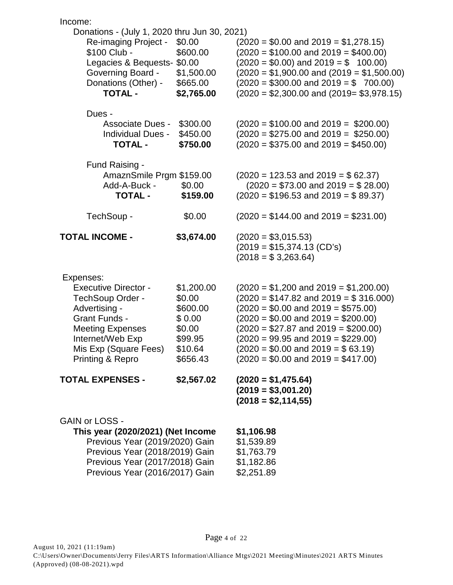| Income:                                                                                                                                                                                            |                                                                                        |                                                                                                                                                                                                                                                                                                                                                   |
|----------------------------------------------------------------------------------------------------------------------------------------------------------------------------------------------------|----------------------------------------------------------------------------------------|---------------------------------------------------------------------------------------------------------------------------------------------------------------------------------------------------------------------------------------------------------------------------------------------------------------------------------------------------|
| Donations - (July 1, 2020 thru Jun 30, 2021)<br>Re-imaging Project -<br>\$100 Club -<br>Legacies & Bequests- \$0.00<br><b>Governing Board -</b><br>Donations (Other) -<br><b>TOTAL -</b>           | \$0.00<br>\$600.00<br>\$1,500.00<br>\$665.00<br>\$2,765.00                             | $(2020 = $0.00$ and $2019 = $1,278.15)$<br>$(2020 = $100.00$ and $2019 = $400.00)$<br>$(2020 = $0.00)$ and $2019 = $ 100.00)$<br>$(2020 = $1,900.00$ and $(2019 = $1,500.00)$<br>$(2020 = $300.00$ and $2019 = $700.00$<br>$(2020 = $2,300.00$ and $(2019 = $3,978.15)$                                                                           |
| Dues -<br><b>Associate Dues -</b><br><b>Individual Dues -</b><br><b>TOTAL -</b>                                                                                                                    | \$300.00<br>\$450.00<br>\$750.00                                                       | $(2020 = $100.00$ and $2019 = $200.00)$<br>$(2020 = $275.00$ and $2019 = $250.00)$<br>$(2020 = $375.00$ and $2019 = $450.00)$                                                                                                                                                                                                                     |
| Fund Raising -<br>AmaznSmile Prgm \$159.00<br>Add-A-Buck -<br><b>TOTAL -</b>                                                                                                                       | \$0.00<br>\$159.00                                                                     | $(2020 = 123.53$ and $2019 = $62.37)$<br>$(2020 = $73.00$ and $2019 = $28.00)$<br>$(2020 = $196.53$ and $2019 = $89.37)$                                                                                                                                                                                                                          |
| TechSoup -                                                                                                                                                                                         | \$0.00                                                                                 | $(2020 = $144.00$ and $2019 = $231.00)$                                                                                                                                                                                                                                                                                                           |
| <b>TOTAL INCOME -</b>                                                                                                                                                                              | \$3,674.00                                                                             | $(2020 = $3,015.53)$<br>$(2019 = $15,374.13$ (CD's)<br>$(2018 = $3,263.64)$                                                                                                                                                                                                                                                                       |
| Expenses:<br><b>Executive Director -</b><br>TechSoup Order -<br>Advertising -<br><b>Grant Funds -</b><br><b>Meeting Expenses</b><br>Internet/Web Exp<br>Mis Exp (Square Fees)<br>Printing & Repro  | \$1,200.00<br>\$0.00<br>\$600.00<br>\$0.00<br>\$0.00<br>\$99.95<br>\$10.64<br>\$656.43 | $(2020 = $1,200 \text{ and } 2019 = $1,200.00)$<br>$(2020 = $147.82$ and $2019 = $316.000)$<br>$(2020 = $0.00$ and $2019 = $575.00)$<br>$(2020 = $0.00$ and $2019 = $200.00)$<br>$(2020 = $27.87$ and $2019 = $200.00)$<br>$(2020 = 99.95$ and $2019 = $229.00)$<br>$(2020 = $0.00$ and $2019 = $63.19)$<br>$(2020 = $0.00$ and $2019 = $417.00)$ |
| <b>TOTAL EXPENSES -</b>                                                                                                                                                                            | \$2,567.02                                                                             | $(2020 = $1,475.64)$<br>$(2019 = $3,001.20)$<br>$(2018 = $2,114,55)$                                                                                                                                                                                                                                                                              |
| <b>GAIN or LOSS -</b><br>This year (2020/2021) (Net Income<br>Previous Year (2019/2020) Gain<br>Previous Year (2018/2019) Gain<br>Previous Year (2017/2018) Gain<br>Previous Year (2016/2017) Gain |                                                                                        | \$1,106.98<br>\$1,539.89<br>\$1,763.79<br>\$1,182.86<br>\$2,251.89                                                                                                                                                                                                                                                                                |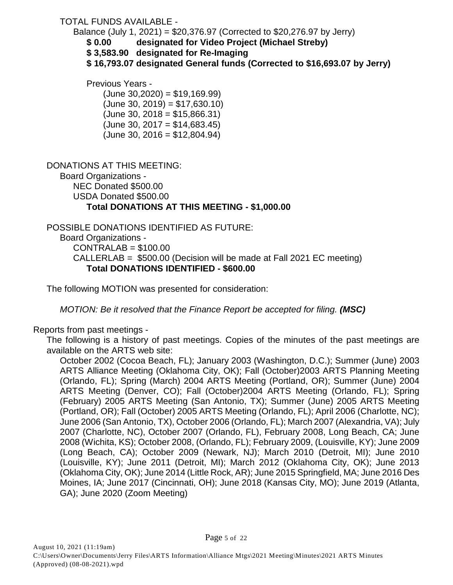## TOTAL FUNDS AVAILABLE -

Balance (July 1, 2021) = \$20,376.97 (Corrected to \$20,276.97 by Jerry)

**\$ 0.00 designated for Video Project (Michael Streby)**

**\$ 3,583.90 designated for Re-Imaging**

**\$ 16,793.07 designated General funds (Corrected to \$16,693.07 by Jerry)**

Previous Years -

 $(June 30,2020) = $19,169.99)$  $(June 30, 2019) = $17,630.10)$  $(June 30, 2018 = $15.866.31)$  $(June 30, 2017 = $14,683.45)$  $(June 30, 2016 = $12,804.94)$ 

DONATIONS AT THIS MEETING: Board Organizations - NEC Donated \$500.00 USDA Donated \$500.00 **Total DONATIONS AT THIS MEETING - \$1,000.00**

POSSIBLE DONATIONS IDENTIFIED AS FUTURE: Board Organizations - CONTRALAB = \$100.00 CALLERLAB = \$500.00 (Decision will be made at Fall 2021 EC meeting) **Total DONATIONS IDENTIFIED - \$600.00**

The following MOTION was presented for consideration:

*MOTION: Be it resolved that the Finance Report be accepted for filing. (MSC)* 

Reports from past meetings -

The following is a history of past meetings. Copies of the minutes of the past meetings are available on the ARTS web site:

October 2002 (Cocoa Beach, FL); January 2003 (Washington, D.C.); Summer (June) 2003 ARTS Alliance Meeting (Oklahoma City, OK); Fall (October)2003 ARTS Planning Meeting (Orlando, FL); Spring (March) 2004 ARTS Meeting (Portland, OR); Summer (June) 2004 ARTS Meeting (Denver, CO); Fall (October)2004 ARTS Meeting (Orlando, FL); Spring (February) 2005 ARTS Meeting (San Antonio, TX); Summer (June) 2005 ARTS Meeting (Portland, OR); Fall (October) 2005 ARTS Meeting (Orlando, FL); April 2006 (Charlotte, NC); June 2006 (San Antonio, TX), October 2006 (Orlando, FL); March 2007 (Alexandria, VA); July 2007 (Charlotte, NC), October 2007 (Orlando, FL), February 2008, Long Beach, CA; June 2008 (Wichita, KS); October 2008, (Orlando, FL); February 2009, (Louisville, KY); June 2009 (Long Beach, CA); October 2009 (Newark, NJ); March 2010 (Detroit, MI); June 2010 (Louisville, KY); June 2011 (Detroit, MI); March 2012 (Oklahoma City, OK); June 2013 (Oklahoma City, OK); June 2014 (Little Rock, AR); June 2015 Springfield, MA; June 2016 Des Moines, IA; June 2017 (Cincinnati, OH); June 2018 (Kansas City, MO); June 2019 (Atlanta, GA); June 2020 (Zoom Meeting)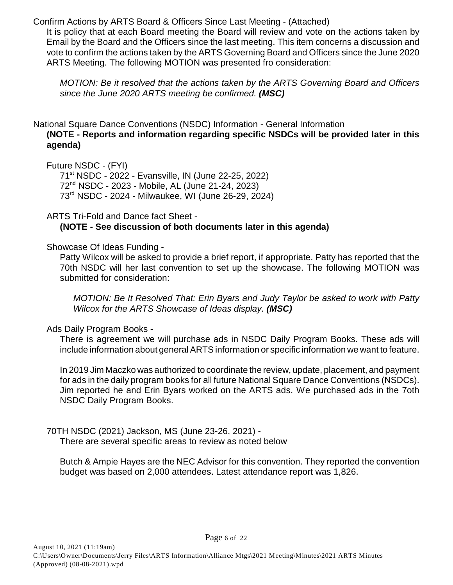Confirm Actions by ARTS Board & Officers Since Last Meeting - (Attached)

It is policy that at each Board meeting the Board will review and vote on the actions taken by Email by the Board and the Officers since the last meeting. This item concerns a discussion and vote to confirm the actions taken by the ARTS Governing Board and Officers since the June 2020 ARTS Meeting. The following MOTION was presented fro consideration:

*MOTION: Be it resolved that the actions taken by the ARTS Governing Board and Officers since the June 2020 ARTS meeting be confirmed. (MSC)*

National Square Dance Conventions (NSDC) Information - General Information **(NOTE - Reports and information regarding specific NSDCs will be provided later in this agenda)** 

Future NSDC - (FYI)

71<sup>st</sup> NSDC - 2022 - Evansville, IN (June 22-25, 2022)  $72<sup>nd</sup> NSDC - 2023 - Mobile, AL (June 21-24, 2023)$ 73<sup>rd</sup> NSDC - 2024 - Milwaukee, WI (June 26-29, 2024)

ARTS Tri-Fold and Dance fact Sheet -

**(NOTE - See discussion of both documents later in this agenda)**

Showcase Of Ideas Funding -

Patty Wilcox will be asked to provide a brief report, if appropriate. Patty has reported that the 70th NSDC will her last convention to set up the showcase. The following MOTION was submitted for consideration:

*MOTION: Be It Resolved That: Erin Byars and Judy Taylor be asked to work with Patty Wilcox for the ARTS Showcase of Ideas display. (MSC)*

Ads Daily Program Books -

There is agreement we will purchase ads in NSDC Daily Program Books. These ads will include information about general ARTS information or specific information we want to feature.

In 2019 Jim Maczko was authorized to coordinate the review, update, placement, and payment for ads in the daily program books for all future National Square Dance Conventions (NSDCs). Jim reported he and Erin Byars worked on the ARTS ads. We purchased ads in the 7oth NSDC Daily Program Books.

70TH NSDC (2021) Jackson, MS (June 23-26, 2021) - There are several specific areas to review as noted below

Butch & Ampie Hayes are the NEC Advisor for this convention. They reported the convention budget was based on 2,000 attendees. Latest attendance report was 1,826.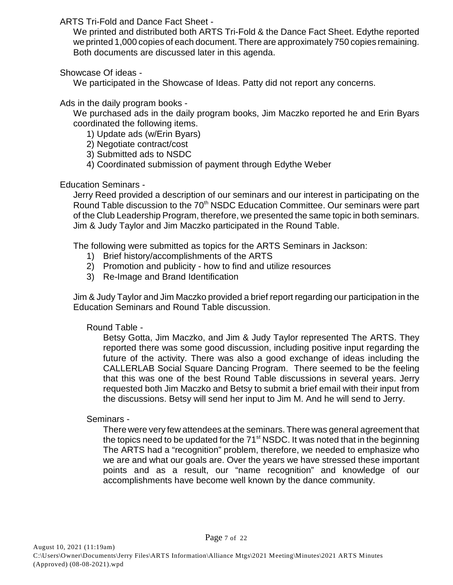ARTS Tri-Fold and Dance Fact Sheet -

We printed and distributed both ARTS Tri-Fold & the Dance Fact Sheet. Edythe reported we printed 1,000 copies of each document. There are approximately 750 copies remaining. Both documents are discussed later in this agenda.

#### Showcase Of ideas -

We participated in the Showcase of Ideas. Patty did not report any concerns.

Ads in the daily program books -

We purchased ads in the daily program books, Jim Maczko reported he and Erin Byars coordinated the following items.

1) Update ads (w/Erin Byars)

- 2) Negotiate contract/cost
- 3) Submitted ads to NSDC
- 4) Coordinated submission of payment through Edythe Weber

Education Seminars -

Jerry Reed provided a description of our seminars and our interest in participating on the Round Table discussion to the 70<sup>th</sup> NSDC Education Committee. Our seminars were part of the Club Leadership Program, therefore, we presented the same topic in both seminars. Jim & Judy Taylor and Jim Maczko participated in the Round Table.

The following were submitted as topics for the ARTS Seminars in Jackson:

- 1) Brief history/accomplishments of the ARTS
- 2) Promotion and publicity how to find and utilize resources
- 3) Re-Image and Brand Identification

Jim & Judy Taylor and Jim Maczko provided a brief report regarding our participation in the Education Seminars and Round Table discussion.

## Round Table -

Betsy Gotta, Jim Maczko, and Jim & Judy Taylor represented The ARTS. They reported there was some good discussion, including positive input regarding the future of the activity. There was also a good exchange of ideas including the CALLERLAB Social Square Dancing Program. There seemed to be the feeling that this was one of the best Round Table discussions in several years. Jerry requested both Jim Maczko and Betsy to submit a brief email with their input from the discussions. Betsy will send her input to Jim M. And he will send to Jerry.

Seminars -

There were very few attendees at the seminars. There was general agreement that the topics need to be updated for the  $71<sup>st</sup>$  NSDC. It was noted that in the beginning The ARTS had a "recognition" problem, therefore, we needed to emphasize who we are and what our goals are. Over the years we have stressed these important points and as a result, our "name recognition" and knowledge of our accomplishments have become well known by the dance community.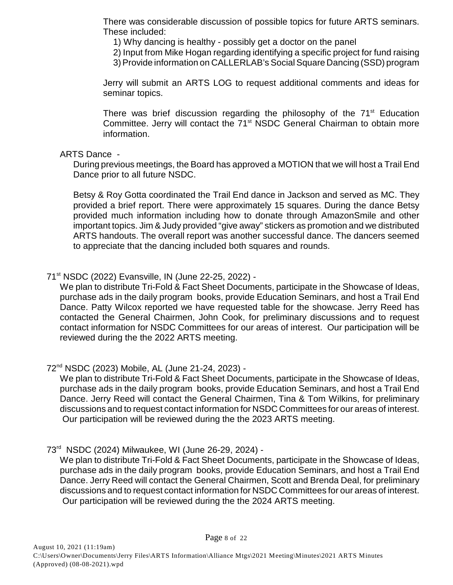There was considerable discussion of possible topics for future ARTS seminars. These included:

1) Why dancing is healthy - possibly get a doctor on the panel

2) Input from Mike Hogan regarding identifying a specific project for fund raising

3) Provide information on CALLERLAB's Social Square Dancing (SSD) program

Jerry will submit an ARTS LOG to request additional comments and ideas for seminar topics.

There was brief discussion regarding the philosophy of the  $71<sup>st</sup>$  Education Committee. Jerry will contact the 71<sup>st</sup> NSDC General Chairman to obtain more information.

#### ARTS Dance -

During previous meetings, the Board has approved a MOTION that we will host a Trail End Dance prior to all future NSDC.

Betsy & Roy Gotta coordinated the Trail End dance in Jackson and served as MC. They provided a brief report. There were approximately 15 squares. During the dance Betsy provided much information including how to donate through AmazonSmile and other important topics. Jim & Judy provided "give away" stickers as promotion and we distributed ARTS handouts. The overall report was another successful dance. The dancers seemed to appreciate that the dancing included both squares and rounds.

71<sup>st</sup> NSDC (2022) Evansville, IN (June 22-25, 2022) -

We plan to distribute Tri-Fold & Fact Sheet Documents, participate in the Showcase of Ideas, purchase ads in the daily program books, provide Education Seminars, and host a Trail End Dance. Patty Wilcox reported we have requested table for the showcase. Jerry Reed has contacted the General Chairmen, John Cook, for preliminary discussions and to request contact information for NSDC Committees for our areas of interest. Our participation will be reviewed during the the 2022 ARTS meeting.

72<sup>nd</sup> NSDC (2023) Mobile, AL (June 21-24, 2023) -

We plan to distribute Tri-Fold & Fact Sheet Documents, participate in the Showcase of Ideas, purchase ads in the daily program books, provide Education Seminars, and host a Trail End Dance. Jerry Reed will contact the General Chairmen, Tina & Tom Wilkins, for preliminary discussions and to request contact information for NSDC Committees for our areas of interest. Our participation will be reviewed during the the 2023 ARTS meeting.

#### 73<sup>rd</sup> NSDC (2024) Milwaukee, WI (June 26-29, 2024) -

We plan to distribute Tri-Fold & Fact Sheet Documents, participate in the Showcase of Ideas, purchase ads in the daily program books, provide Education Seminars, and host a Trail End Dance. Jerry Reed will contact the General Chairmen, Scott and Brenda Deal, for preliminary discussions and to request contact information for NSDC Committees for our areas of interest. Our participation will be reviewed during the the 2024 ARTS meeting.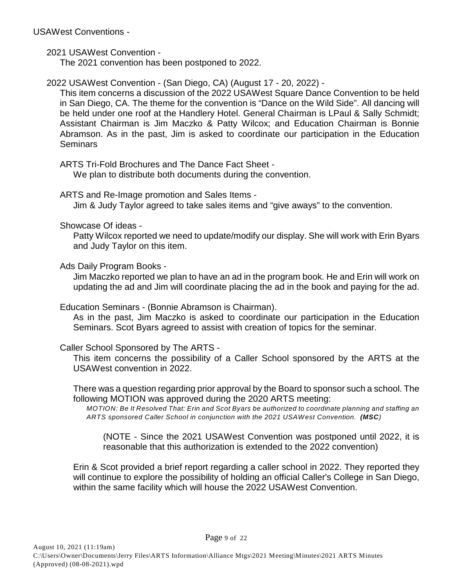USAWest Conventions -

2021 USAWest Convention -

The 2021 convention has been postponed to 2022.

2022 USAWest Convention - (San Diego, CA) (August 17 - 20, 2022) -

This item concerns a discussion of the 2022 USAWest Square Dance Convention to be held in San Diego, CA. The theme for the convention is "Dance on the Wild Side". All dancing will be held under one roof at the Handlery Hotel. General Chairman is LPaul & Sally Schmidt; Assistant Chairman is Jim Maczko & Patty Wilcox; and Education Chairman is Bonnie Abramson. As in the past, Jim is asked to coordinate our participation in the Education **Seminars** 

ARTS Tri-Fold Brochures and The Dance Fact Sheet -

We plan to distribute both documents during the convention.

ARTS and Re-Image promotion and Sales Items -

Jim & Judy Taylor agreed to take sales items and "give aways" to the convention.

Showcase Of ideas -

Patty Wilcox reported we need to update/modify our display. She will work with Erin Byars and Judy Taylor on this item.

Ads Daily Program Books -

Jim Maczko reported we plan to have an ad in the program book. He and Erin will work on updating the ad and Jim will coordinate placing the ad in the book and paying for the ad.

Education Seminars - (Bonnie Abramson is Chairman).

As in the past, Jim Maczko is asked to coordinate our participation in the Education Seminars. Scot Byars agreed to assist with creation of topics for the seminar.

Caller School Sponsored by The ARTS -

This item concerns the possibility of a Caller School sponsored by the ARTS at the USAWest convention in 2022.

There was a question regarding prior approval by the Board to sponsor such a school. The following MOTION was approved during the 2020 ARTS meeting:

*MOTION: Be It Resolved That: Erin and Scot Byars be authorized to coordinate planning and staffing an ARTS sponsored Caller School in conjunction with the 2021 USAWest Convention. (MSC)*

(NOTE - Since the 2021 USAWest Convention was postponed until 2022, it is reasonable that this authorization is extended to the 2022 convention)

Erin & Scot provided a brief report regarding a caller school in 2022. They reported they will continue to explore the possibility of holding an official Caller's College in San Diego, within the same facility which will house the 2022 USAWest Convention.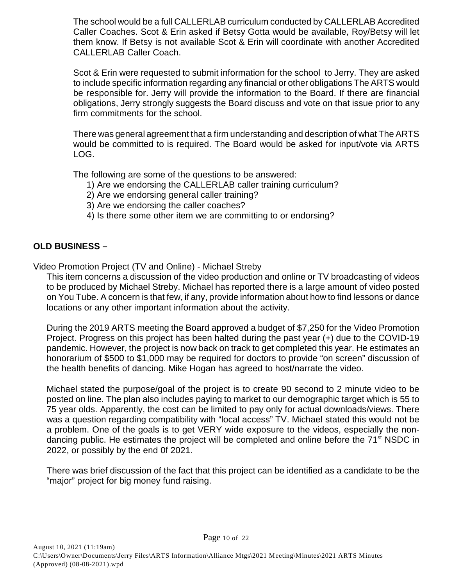The school would be a full CALLERLAB curriculum conducted by CALLERLAB Accredited Caller Coaches. Scot & Erin asked if Betsy Gotta would be available, Roy/Betsy will let them know. If Betsy is not available Scot & Erin will coordinate with another Accredited CALLERLAB Caller Coach.

Scot & Erin were requested to submit information for the school to Jerry. They are asked to include specific information regarding any financial or other obligations The ARTS would be responsible for. Jerry will provide the information to the Board. If there are financial obligations, Jerry strongly suggests the Board discuss and vote on that issue prior to any firm commitments for the school.

There was general agreement that a firm understanding and description of what The ARTS would be committed to is required. The Board would be asked for input/vote via ARTS LOG.

The following are some of the questions to be answered:

- 1) Are we endorsing the CALLERLAB caller training curriculum?
- 2) Are we endorsing general caller training?
- 3) Are we endorsing the caller coaches?
- 4) Is there some other item we are committing to or endorsing?

## **OLD BUSINESS –**

Video Promotion Project (TV and Online) - Michael Streby

This item concerns a discussion of the video production and online or TV broadcasting of videos to be produced by Michael Streby. Michael has reported there is a large amount of video posted on You Tube. A concern is that few, if any, provide information about how to find lessons or dance locations or any other important information about the activity.

During the 2019 ARTS meeting the Board approved a budget of \$7,250 for the Video Promotion Project. Progress on this project has been halted during the past year (+) due to the COVID-19 pandemic. However, the project is now back on track to get completed this year. He estimates an honorarium of \$500 to \$1,000 may be required for doctors to provide "on screen" discussion of the health benefits of dancing. Mike Hogan has agreed to host/narrate the video.

Michael stated the purpose/goal of the project is to create 90 second to 2 minute video to be posted on line. The plan also includes paying to market to our demographic target which is 55 to 75 year olds. Apparently, the cost can be limited to pay only for actual downloads/views. There was a question regarding compatibility with "local access" TV. Michael stated this would not be a problem. One of the goals is to get VERY wide exposure to the videos, especially the nondancing public. He estimates the project will be completed and online before the 71<sup>st</sup> NSDC in 2022, or possibly by the end 0f 2021.

There was brief discussion of the fact that this project can be identified as a candidate to be the "major" project for big money fund raising.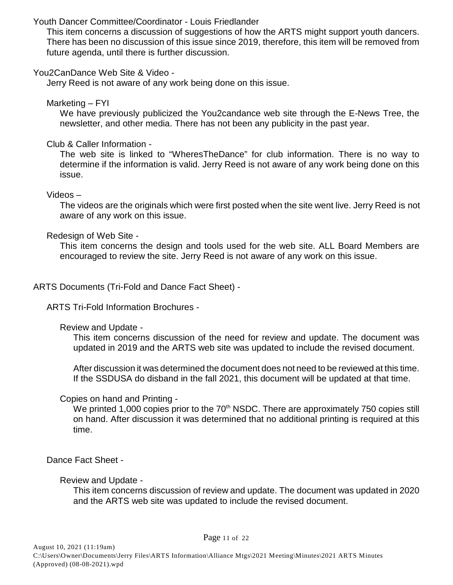#### Youth Dancer Committee/Coordinator - Louis Friedlander

This item concerns a discussion of suggestions of how the ARTS might support youth dancers. There has been no discussion of this issue since 2019, therefore, this item will be removed from future agenda, until there is further discussion.

#### You2CanDance Web Site & Video -

Jerry Reed is not aware of any work being done on this issue.

Marketing – FYI

We have previously publicized the You2candance web site through the E-News Tree, the newsletter, and other media. There has not been any publicity in the past year.

Club & Caller Information -

The web site is linked to "WheresTheDance" for club information. There is no way to determine if the information is valid. Jerry Reed is not aware of any work being done on this issue.

Videos –

 The videos are the originals which were first posted when the site went live. Jerry Reed is not aware of any work on this issue.

Redesign of Web Site -

This item concerns the design and tools used for the web site. ALL Board Members are encouraged to review the site. Jerry Reed is not aware of any work on this issue.

ARTS Documents (Tri-Fold and Dance Fact Sheet) -

ARTS Tri-Fold Information Brochures -

Review and Update -

This item concerns discussion of the need for review and update. The document was updated in 2019 and the ARTS web site was updated to include the revised document.

After discussion it was determined the document does not need to be reviewed at this time. If the SSDUSA do disband in the fall 2021, this document will be updated at that time.

Copies on hand and Printing -

We printed 1,000 copies prior to the  $70<sup>th</sup>$  NSDC. There are approximately 750 copies still on hand. After discussion it was determined that no additional printing is required at this time.

Dance Fact Sheet -

Review and Update -

This item concerns discussion of review and update. The document was updated in 2020 and the ARTS web site was updated to include the revised document.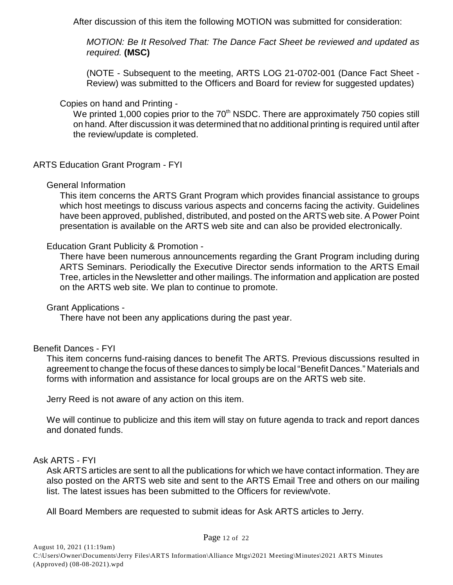After discussion of this item the following MOTION was submitted for consideration:

*MOTION: Be It Resolved That: The Dance Fact Sheet be reviewed and updated as required.* **(MSC)**

(NOTE - Subsequent to the meeting, ARTS LOG 21-0702-001 (Dance Fact Sheet - Review) was submitted to the Officers and Board for review for suggested updates)

#### Copies on hand and Printing -

We printed 1,000 copies prior to the  $70<sup>th</sup>$  NSDC. There are approximately 750 copies still on hand. After discussion it was determined that no additional printing is required until after the review/update is completed.

#### ARTS Education Grant Program - FYI

#### General Information

This item concerns the ARTS Grant Program which provides financial assistance to groups which host meetings to discuss various aspects and concerns facing the activity. Guidelines have been approved, published, distributed, and posted on the ARTS web site. A Power Point presentation is available on the ARTS web site and can also be provided electronically.

#### Education Grant Publicity & Promotion -

There have been numerous announcements regarding the Grant Program including during ARTS Seminars. Periodically the Executive Director sends information to the ARTS Email Tree, articles in the Newsletter and other mailings. The information and application are posted on the ARTS web site. We plan to continue to promote.

#### Grant Applications -

There have not been any applications during the past year.

#### Benefit Dances - FYI

This item concerns fund-raising dances to benefit The ARTS. Previous discussions resulted in agreement to change the focus of these dances to simply be local "Benefit Dances." Materials and forms with information and assistance for local groups are on the ARTS web site.

Jerry Reed is not aware of any action on this item.

We will continue to publicize and this item will stay on future agenda to track and report dances and donated funds.

#### Ask ARTS - FYI

Ask ARTS articles are sent to all the publications for which we have contact information. They are also posted on the ARTS web site and sent to the ARTS Email Tree and others on our mailing list. The latest issues has been submitted to the Officers for review/vote.

All Board Members are requested to submit ideas for Ask ARTS articles to Jerry.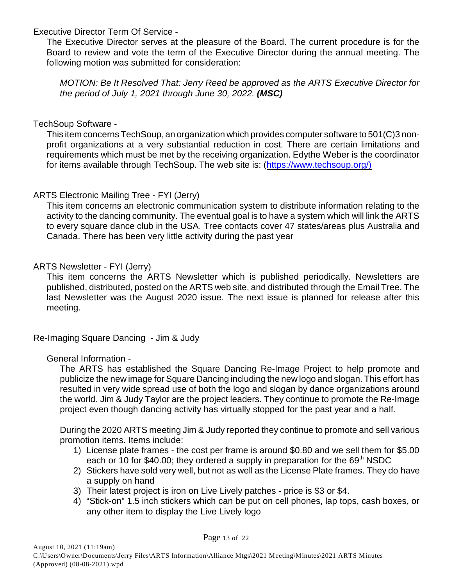Executive Director Term Of Service -

The Executive Director serves at the pleasure of the Board. The current procedure is for the Board to review and vote the term of the Executive Director during the annual meeting. The following motion was submitted for consideration:

*MOTION: Be It Resolved That: Jerry Reed be approved as the ARTS Executive Director for the period of July 1, 2021 through June 30, 2022. (MSC)*

#### TechSoup Software -

This item concerns TechSoup, an organization which provides computer software to 501(C)3 nonprofit organizations at a very substantial reduction in cost. There are certain limitations and requirements which must be met by the receiving organization. Edythe Weber is the coordinator for items available through TechSoup. The web site is: [\(https://www.techsoup.org/\)](http://(https://www.techsoup.org/))

#### ARTS Electronic Mailing Tree - FYI (Jerry)

This item concerns an electronic communication system to distribute information relating to the activity to the dancing community. The eventual goal is to have a system which will link the ARTS to every square dance club in the USA. Tree contacts cover 47 states/areas plus Australia and Canada. There has been very little activity during the past year

#### ARTS Newsletter - FYI (Jerry)

This item concerns the ARTS Newsletter which is published periodically. Newsletters are published, distributed, posted on the ARTS web site, and distributed through the Email Tree. The last Newsletter was the August 2020 issue. The next issue is planned for release after this meeting.

Re-Imaging Square Dancing - Jim & Judy

## General Information -

The ARTS has established the Square Dancing Re-Image Project to help promote and publicize the new image for Square Dancing including the new logo and slogan. This effort has resulted in very wide spread use of both the logo and slogan by dance organizations around the world. Jim & Judy Taylor are the project leaders. They continue to promote the Re-Image project even though dancing activity has virtually stopped for the past year and a half.

During the 2020 ARTS meeting Jim & Judy reported they continue to promote and sell various promotion items. Items include:

- 1) License plate frames the cost per frame is around \$0.80 and we sell them for \$5.00 each or 10 for \$40.00; they ordered a supply in preparation for the  $69<sup>th</sup>$  NSDC
- 2) Stickers have sold very well, but not as well as the License Plate frames. They do have a supply on hand
- 3) Their latest project is iron on Live Lively patches price is \$3 or \$4.
- 4) "Stick-on" 1.5 inch stickers which can be put on cell phones, lap tops, cash boxes, or any other item to display the Live Lively logo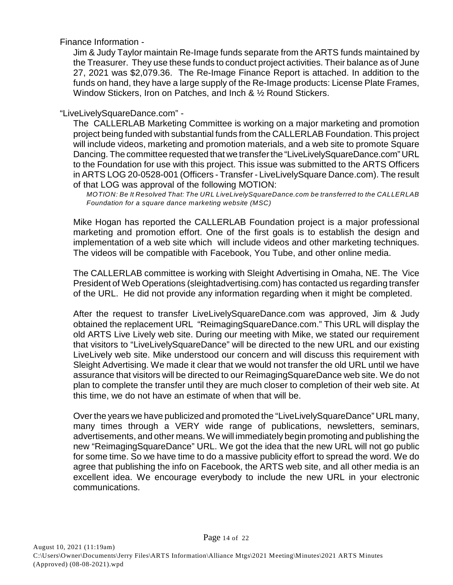Finance Information -

Jim & Judy Taylor maintain Re-Image funds separate from the ARTS funds maintained by the Treasurer. They use these funds to conduct project activities. Their balance as of June 27, 2021 was \$2,079.36. The Re-Image Finance Report is attached. In addition to the funds on hand, they have a large supply of the Re-Image products: License Plate Frames, Window Stickers, Iron on Patches, and Inch & 1/2 Round Stickers.

"LiveLivelySquareDance.com" -

The CALLERLAB Marketing Committee is working on a major marketing and promotion project being funded with substantial funds from the CALLERLAB Foundation. This project will include videos, marketing and promotion materials, and a web site to promote Square Dancing. The committee requested that we transfer the "LiveLivelySquareDance.com" URL to the Foundation for use with this project. This issue was submitted to the ARTS Officers in ARTS LOG 20-0528-001 (Officers - Transfer - LiveLivelySquare Dance.com). The result of that LOG was approval of the following MOTION:

*MOTION: Be It Resolved That: The URL LiveLivelySquareDance.com be transferred to the CALLERLAB Foundation for a square dance marketing website (MSC)*

Mike Hogan has reported the CALLERLAB Foundation project is a major professional marketing and promotion effort. One of the first goals is to establish the design and implementation of a web site which will include videos and other marketing techniques. The videos will be compatible with Facebook, You Tube, and other online media.

The CALLERLAB committee is working with Sleight Advertising in Omaha, NE. The Vice President of Web Operations (sleightadvertising.com) has contacted us regarding transfer of the URL. He did not provide any information regarding when it might be completed.

After the request to transfer LiveLivelySquareDance.com was approved, Jim & Judy obtained the replacement URL "ReimagingSquareDance.com." This URL will display the old ARTS Live Lively web site. During our meeting with Mike, we stated our requirement that visitors to "LiveLivelySquareDance" will be directed to the new URL and our existing LiveLively web site. Mike understood our concern and will discuss this requirement with Sleight Advertising. We made it clear that we would not transfer the old URL until we have assurance that visitors will be directed to our ReimagingSquareDance web site. We do not plan to complete the transfer until they are much closer to completion of their web site. At this time, we do not have an estimate of when that will be.

Over the years we have publicized and promoted the "LiveLivelySquareDance" URL many, many times through a VERY wide range of publications, newsletters, seminars, advertisements, and other means. We will immediately begin promoting and publishing the new "ReimagingSquareDance" URL. We got the idea that the new URL will not go public for some time. So we have time to do a massive publicity effort to spread the word. We do agree that publishing the info on Facebook, the ARTS web site, and all other media is an excellent idea. We encourage everybody to include the new URL in your electronic communications.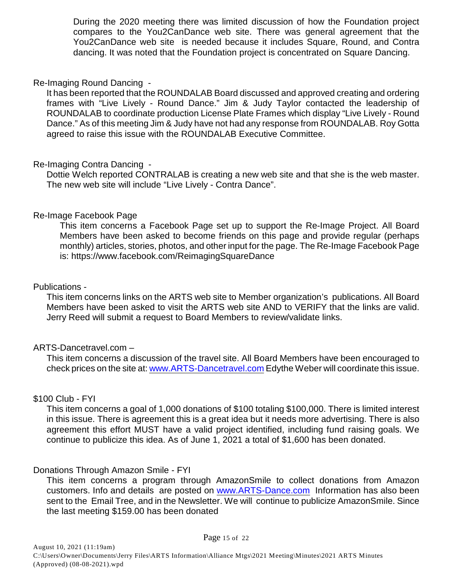During the 2020 meeting there was limited discussion of how the Foundation project compares to the You2CanDance web site. There was general agreement that the You2CanDance web site is needed because it includes Square, Round, and Contra dancing. It was noted that the Foundation project is concentrated on Square Dancing.

#### Re-Imaging Round Dancing -

It has been reported that the ROUNDALAB Board discussed and approved creating and ordering frames with "Live Lively - Round Dance." Jim & Judy Taylor contacted the leadership of ROUNDALAB to coordinate production License Plate Frames which display "Live Lively - Round Dance." As of this meeting Jim & Judy have not had any response from ROUNDALAB. Roy Gotta agreed to raise this issue with the ROUNDALAB Executive Committee.

#### Re-Imaging Contra Dancing -

Dottie Welch reported CONTRALAB is creating a new web site and that she is the web master. The new web site will include "Live Lively - Contra Dance".

#### Re-Image Facebook Page

This item concerns a Facebook Page set up to support the Re-Image Project. All Board Members have been asked to become friends on this page and provide regular (perhaps monthly) articles, stories, photos, and other input for the page. The Re-Image Facebook Page is: https://www.facebook.com/ReimagingSquareDance

#### Publications -

This item concerns links on the ARTS web site to Member organization's publications. All Board Members have been asked to visit the ARTS web site AND to VERIFY that the links are valid. Jerry Reed will submit a request to Board Members to review/validate links.

#### ARTS-Dancetravel.com –

This item concerns a discussion of the travel site. All Board Members have been encouraged to check prices on the site at: [www.ARTS-Dancetravel.com](http://www.ARTS-Dancetravel.com) Edythe Weber will coordinate this issue.

#### \$100 Club - FYI

This item concerns a goal of 1,000 donations of \$100 totaling \$100,000. There is limited interest in this issue. There is agreement this is a great idea but it needs more advertising. There is also agreement this effort MUST have a valid project identified, including fund raising goals. We continue to publicize this idea. As of June 1, 2021 a total of \$1,600 has been donated.

#### Donations Through Amazon Smile - FYI

This item concerns a program through AmazonSmile to collect donations from Amazon customers. Info and details are posted on [www.ARTS-Dance.com](http://www.ARTS-Dance.com) Information has also been sent to the Email Tree, and in the Newsletter. We will continue to publicize AmazonSmile. Since the last meeting \$159.00 has been donated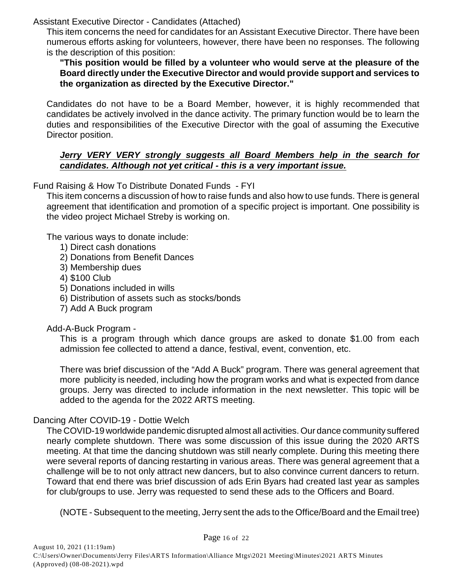Assistant Executive Director - Candidates (Attached)

This item concerns the need for candidates for an Assistant Executive Director. There have been numerous efforts asking for volunteers, however, there have been no responses. The following is the description of this position:

**"This position would be filled by a volunteer who would serve at the pleasure of the Board directly under the Executive Director and would provide support and services to the organization as directed by the Executive Director."**

Candidates do not have to be a Board Member, however, it is highly recommended that candidates be actively involved in the dance activity. The primary function would be to learn the duties and responsibilities of the Executive Director with the goal of assuming the Executive Director position.

#### *Jerry VERY VERY strongly suggests all Board Members help in the search for candidates. Although not yet critical - this is a very important issue.*

## Fund Raising & How To Distribute Donated Funds - FYI

This item concerns a discussion of how to raise funds and also how to use funds. There is general agreement that identification and promotion of a specific project is important. One possibility is the video project Michael Streby is working on.

The various ways to donate include:

- 1) Direct cash donations
- 2) Donations from Benefit Dances
- 3) Membership dues
- 4) \$100 Club
- 5) Donations included in wills
- 6) Distribution of assets such as stocks/bonds
- 7) Add A Buck program

## Add-A-Buck Program -

This is a program through which dance groups are asked to donate \$1.00 from each admission fee collected to attend a dance, festival, event, convention, etc.

There was brief discussion of the "Add A Buck" program. There was general agreement that more publicity is needed, including how the program works and what is expected from dance groups. Jerry was directed to include information in the next newsletter. This topic will be added to the agenda for the 2022 ARTS meeting.

## Dancing After COVID-19 - Dottie Welch

The COVID-19 worldwide pandemic disrupted almost all activities. Our dance community suffered nearly complete shutdown. There was some discussion of this issue during the 2020 ARTS meeting. At that time the dancing shutdown was still nearly complete. During this meeting there were several reports of dancing restarting in various areas. There was general agreement that a challenge will be to not only attract new dancers, but to also convince current dancers to return. Toward that end there was brief discussion of ads Erin Byars had created last year as samples for club/groups to use. Jerry was requested to send these ads to the Officers and Board.

(NOTE - Subsequent to the meeting, Jerry sent the ads to the Office/Board and the Email tree)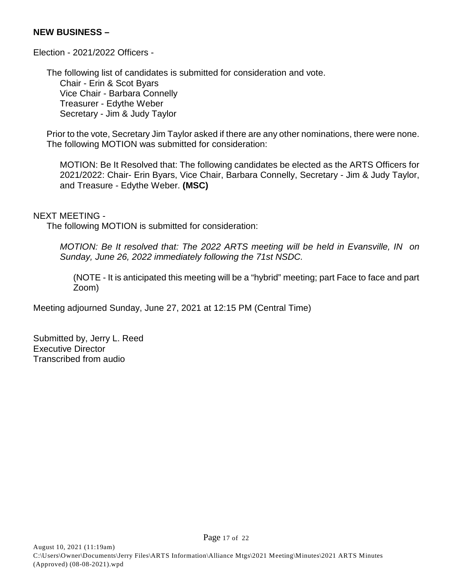#### **NEW BUSINESS –**

Election - 2021/2022 Officers -

The following list of candidates is submitted for consideration and vote. Chair - Erin & Scot Byars Vice Chair - Barbara Connelly Treasurer - Edythe Weber Secretary - Jim & Judy Taylor

Prior to the vote, Secretary Jim Taylor asked if there are any other nominations, there were none. The following MOTION was submitted for consideration:

MOTION: Be It Resolved that: The following candidates be elected as the ARTS Officers for 2021/2022: Chair- Erin Byars, Vice Chair, Barbara Connelly, Secretary - Jim & Judy Taylor, and Treasure - Edythe Weber. **(MSC)**

#### NEXT MEETING -

The following MOTION is submitted for consideration:

*MOTION: Be It resolved that: The 2022 ARTS meeting will be held in Evansville, IN on Sunday, June 26, 2022 immediately following the 71st NSDC.* 

(NOTE - It is anticipated this meeting will be a "hybrid" meeting; part Face to face and part Zoom)

Meeting adjourned Sunday, June 27, 2021 at 12:15 PM (Central Time)

Submitted by, Jerry L. Reed Executive Director Transcribed from audio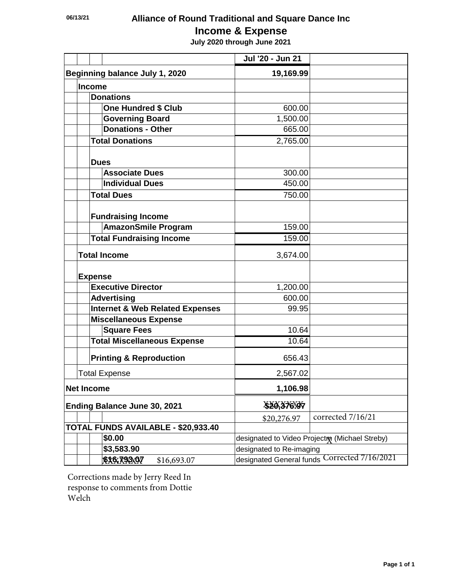## **06/13/21 Alliance of Round Traditional and Square Dance Inc**

## **Income & Expense**

 **July 2020 through June 2021**

|                                     |                                                         |                                            | Jul '20 - Jun 21                             |                   |  |
|-------------------------------------|---------------------------------------------------------|--------------------------------------------|----------------------------------------------|-------------------|--|
| Beginning balance July 1, 2020      |                                                         |                                            | 19,169.99                                    |                   |  |
|                                     | <b>Income</b>                                           |                                            |                                              |                   |  |
|                                     |                                                         | <b>Donations</b>                           |                                              |                   |  |
|                                     |                                                         | <b>One Hundred \$ Club</b>                 | 600.00                                       |                   |  |
|                                     |                                                         | <b>Governing Board</b>                     | 1,500.00                                     |                   |  |
|                                     |                                                         | <b>Donations - Other</b>                   | 665.00                                       |                   |  |
|                                     |                                                         | <b>Total Donations</b>                     | 2,765.00                                     |                   |  |
|                                     | <b>Dues</b>                                             |                                            |                                              |                   |  |
|                                     |                                                         | <b>Associate Dues</b>                      | 300.00                                       |                   |  |
|                                     |                                                         | <b>Individual Dues</b>                     | 450.00                                       |                   |  |
|                                     |                                                         | <b>Total Dues</b>                          | 750.00                                       |                   |  |
|                                     |                                                         | <b>Fundraising Income</b>                  |                                              |                   |  |
|                                     |                                                         | <b>AmazonSmile Program</b>                 | 159.00                                       |                   |  |
|                                     |                                                         | <b>Total Fundraising Income</b>            | 159.00                                       |                   |  |
|                                     |                                                         | <b>Total Income</b>                        | 3,674.00                                     |                   |  |
|                                     | <b>Expense</b>                                          |                                            |                                              |                   |  |
|                                     |                                                         | <b>Executive Director</b>                  | 1,200.00                                     |                   |  |
|                                     |                                                         | <b>Advertising</b>                         | 600.00                                       |                   |  |
|                                     |                                                         | <b>Internet &amp; Web Related Expenses</b> | 99.95                                        |                   |  |
|                                     |                                                         | <b>Miscellaneous Expense</b>               |                                              |                   |  |
|                                     |                                                         | <b>Square Fees</b>                         | 10.64                                        |                   |  |
|                                     |                                                         | <b>Total Miscellaneous Expense</b>         | 10.64                                        |                   |  |
|                                     |                                                         | <b>Printing &amp; Reproduction</b>         | 656.43                                       |                   |  |
|                                     |                                                         | <b>Total Expense</b>                       | 2,567.02                                     |                   |  |
| <b>Net Income</b>                   |                                                         |                                            | 1,106.98                                     |                   |  |
| <b>Ending Balance June 30, 2021</b> |                                                         |                                            | \$20,376.97                                  |                   |  |
|                                     |                                                         |                                            | \$20,276.97                                  | corrected 7/16/21 |  |
|                                     |                                                         | TOTAL FUNDS AVAILABLE - \$20,933.40        |                                              |                   |  |
|                                     | \$0.00<br>designated to Video Projectm (Michael Streby) |                                            |                                              |                   |  |
|                                     |                                                         | \$3,583.90                                 | designated to Re-imaging                     |                   |  |
|                                     |                                                         | \$X6.793x07<br>\$16,693.07                 | designated General funds Corrected 7/16/2021 |                   |  |

Corrections made by Jerry Reed In response to comments from Dottie Welch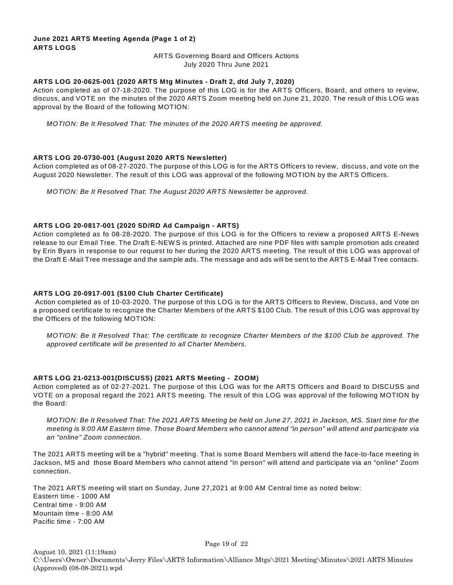#### **June 2021 ARTS Meeting Agenda (Page 1 of 2) ARTS LOGS**

#### ARTS Governing Board and Officers Actions July 2020 Thru June 2021

#### **ARTS LOG 20-0625-001 (2020 ARTS Mtg Minutes - Draft 2, dtd July 7, 2020)**

Action completed as of 07-18-2020. The purpose of this LOG is for the ARTS Officers, Board, and others to review, discuss, and VOTE on the minutes of the 2020 ARTS Zoom meeting held on June 21, 2020. The result of this LOG was approval by the Board of the following MOTION:

*MOTION: Be It Resolved That: The minutes of the 2020 ARTS meeting be approved.*

#### **ARTS LOG 20-0730-001 (August 2020 ARTS Newsletter)**

Action completed as of 08-27-2020. The purpose of this LOG is for the ARTS Officers to review, discuss, and vote on the August 2020 Newsletter. The result of this LOG was approval of the following MOTION by the ARTS Officers.

*MOTION: Be It Resolved That: The August 2020 ARTS Newsletter be approved.*

#### **ARTS LOG 20-0817-001 (2020 SD/RD Ad Campaign - ARTS)**

Action completed as fo 08-28-2020. The purpose of this LOG is for the Officers to review a proposed ARTS E-News release to our Email Tree. The Draft E-NEW S is printed. Attached are nine PDF files with sample promotion ads created by Erin Byars in response to our request to her during the 2020 ARTS meeting. The result of this LOG was approval of the Draft E-Mail Tree message and the sample ads. The message and ads will be sent to the ARTS E-Mail Tree contacts.

#### **ARTS LOG 20-0917-001 (\$100 Club Charter Certificate)**

 Action completed as of 10-03-2020. The purpose of this LOG is for the ARTS Officers to Review, Discuss, and Vote on a proposed certificate to recognize the Charter Members of the ARTS \$100 Club. The result of this LOG was approval by the Officers of the following MOTION:

*MOTION: Be It Resolved That: The certificate to recognize Charter Members of the \$100 Club be approved. The approved certificate will be presented to all Charter Members*.

#### **ARTS LOG 21-0213-001(DISCUSS) (2021 ARTS Meeting - ZOOM)**

Action completed as of 02-27-2021. The purpose of this LOG was for the ARTS Officers and Board to DISCUSS and VOTE on a proposal regard the 2021 ARTS meeting. The result of this LOG was approval of the following MOTION by the Board:

*MOTION: Be It Resolved That: The 2021 ARTS Meeting be held on June 27, 2021 in Jackson, MS. Start time for the meeting is 9:00 AM Eastern time. Those Board Members who cannot attend "in person" will attend and participate via an "online" Zoom connection.*

The 2021 ARTS meeting will be a "hybrid" meeting. That is some Board Members will attend the face-to-face meeting in Jackson, MS and those Board Members who cannot attend "in person" will attend and participate via an "online" Zoom connection.

The 2021 ARTS meeting will start on Sunday, June 27,2021 at 9:00 AM Central time as noted below: Eastern time - 1000 AM Central time - 9:00 AM Mountain time - 8:00 AM Pacific time - 7:00 AM

August 10, 2021 (11:19am) C:\Users\Owner\Documents\Jerry Files\ARTS Information\Alliance Mtgs\2021 Meeting\Minutes\2021 ARTS Minutes (Approved) (08-08-2021).wpd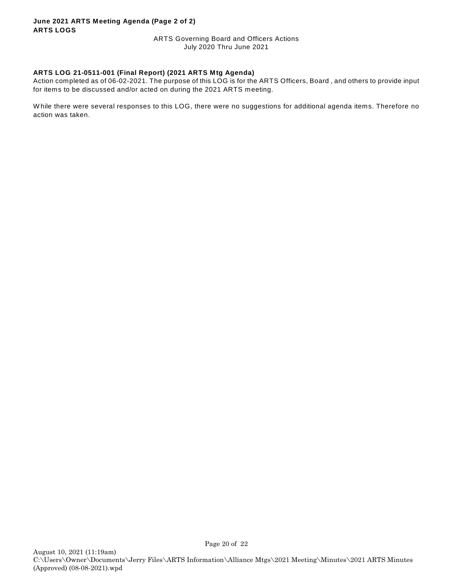#### **June 2021 ARTS Meeting Agenda (Page 2 of 2) ARTS LOGS**

ARTS Governing Board and Officers Actions July 2020 Thru June 2021

#### **ARTS LOG 21-0511-001 (Final Report) (2021 ARTS Mtg Agenda)**

Action completed as of 06-02-2021. The purpose of this LOG is for the ARTS Officers, Board , and others to provide input for items to be discussed and/or acted on during the 2021 ARTS meeting.

W hile there were several responses to this LOG, there were no suggestions for additional agenda items. Therefore no action was taken.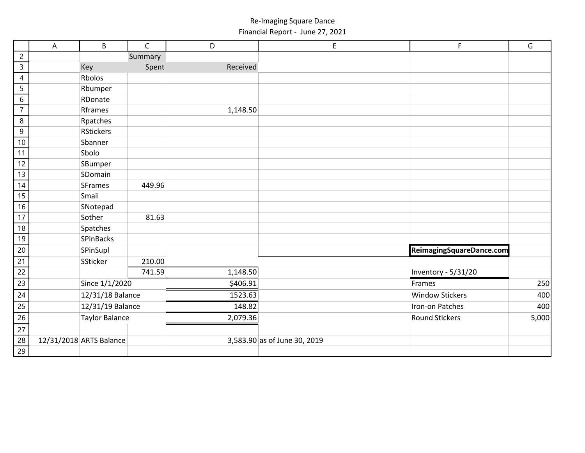Re-Imaging Square Dance Financial Report - June 27, 2021

|                 | $\boldsymbol{\mathsf{A}}$ | B                       | $\mathsf{C}$ | D        | E                            | F                        | G     |
|-----------------|---------------------------|-------------------------|--------------|----------|------------------------------|--------------------------|-------|
| $\overline{c}$  |                           |                         | Summary      |          |                              |                          |       |
| $\overline{3}$  |                           | Key                     | Spent        | Received |                              |                          |       |
| $\overline{4}$  |                           | Rbolos                  |              |          |                              |                          |       |
| $\overline{5}$  |                           | Rbumper                 |              |          |                              |                          |       |
| $\sqrt{6}$      |                           | RDonate                 |              |          |                              |                          |       |
| $\overline{7}$  |                           | Rframes                 |              | 1,148.50 |                              |                          |       |
| $\,8\,$         |                           | Rpatches                |              |          |                              |                          |       |
| $9\,$           |                           | <b>RStickers</b>        |              |          |                              |                          |       |
| 10              |                           | Sbanner                 |              |          |                              |                          |       |
| 11              |                           | Sbolo                   |              |          |                              |                          |       |
| 12              |                           | SBumper                 |              |          |                              |                          |       |
| 13              |                           | SDomain                 |              |          |                              |                          |       |
| 14              |                           | <b>SFrames</b>          | 449.96       |          |                              |                          |       |
| 15              |                           | Smail                   |              |          |                              |                          |       |
| $\overline{16}$ |                           | SNotepad                |              |          |                              |                          |       |
| $\overline{17}$ |                           | Sother                  | 81.63        |          |                              |                          |       |
| 18              |                           | Spatches                |              |          |                              |                          |       |
| 19              |                           | SPinBacks               |              |          |                              |                          |       |
| 20              |                           | SPinSupl                |              |          |                              | ReimagingSquareDance.com |       |
| 21              |                           | SSticker                | 210.00       |          |                              |                          |       |
| $\overline{22}$ |                           |                         | 741.59       | 1,148.50 |                              | Inventory - 5/31/20      |       |
| $\overline{23}$ |                           | Since 1/1/2020          |              | \$406.91 |                              | Frames                   | 250   |
| 24              |                           | 12/31/18 Balance        |              | 1523.63  |                              | <b>Window Stickers</b>   | 400   |
| 25              |                           | 12/31/19 Balance        |              | 148.82   |                              | Iron-on Patches          | 400   |
| $\overline{26}$ |                           | <b>Taylor Balance</b>   |              | 2,079.36 |                              | <b>Round Stickers</b>    | 5,000 |
| $\overline{27}$ |                           |                         |              |          |                              |                          |       |
| $\overline{28}$ |                           | 12/31/2018 ARTS Balance |              |          | 3,583.90 as of June 30, 2019 |                          |       |
| $\overline{29}$ |                           |                         |              |          |                              |                          |       |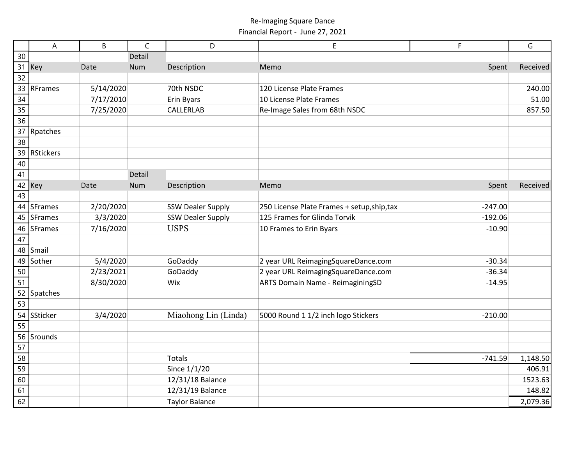#### Re-Imaging Square Dance Financial Report - June 27, 2021

|                 | A                | B         | $\mathsf{C}$ | D                        | E                                           | F         | G        |
|-----------------|------------------|-----------|--------------|--------------------------|---------------------------------------------|-----------|----------|
| 30              |                  |           | Detail       |                          |                                             |           |          |
|                 | 31 Key           | Date      | <b>Num</b>   | Description              | Memo                                        | Spent     | Received |
| $\overline{32}$ |                  |           |              |                          |                                             |           |          |
| 33              | <b>RFrames</b>   | 5/14/2020 |              | 70th NSDC                | 120 License Plate Frames                    |           | 240.00   |
| 34              |                  | 7/17/2010 |              | Erin Byars               | 10 License Plate Frames                     |           | 51.00    |
| 35              |                  | 7/25/2020 |              | <b>CALLERLAB</b>         | Re-Image Sales from 68th NSDC               |           | 857.50   |
| $\overline{36}$ |                  |           |              |                          |                                             |           |          |
|                 | 37 Rpatches      |           |              |                          |                                             |           |          |
| 38              |                  |           |              |                          |                                             |           |          |
| 39              | <b>RStickers</b> |           |              |                          |                                             |           |          |
| 40              |                  |           |              |                          |                                             |           |          |
| 41              |                  |           | Detail       |                          |                                             |           |          |
|                 | 42 Key           | Date      | <b>Num</b>   | Description              | Memo                                        | Spent     | Received |
| $\overline{43}$ |                  |           |              |                          |                                             |           |          |
|                 | 44 SFrames       | 2/20/2020 |              | <b>SSW Dealer Supply</b> | 250 License Plate Frames + setup, ship, tax | $-247.00$ |          |
|                 | 45 SFrames       | 3/3/2020  |              | <b>SSW Dealer Supply</b> | 125 Frames for Glinda Torvik                | $-192.06$ |          |
| 46              | <b>SFrames</b>   | 7/16/2020 |              | <b>USPS</b>              | 10 Frames to Erin Byars                     | $-10.90$  |          |
| 47              |                  |           |              |                          |                                             |           |          |
|                 | 48 Smail         |           |              |                          |                                             |           |          |
| 49              | Sother           | 5/4/2020  |              | GoDaddy                  | 2 year URL ReimagingSquareDance.com         | $-30.34$  |          |
| 50              |                  | 2/23/2021 |              | GoDaddy                  | 2 year URL ReimagingSquareDance.com         | $-36.34$  |          |
| 51              |                  | 8/30/2020 |              | Wix                      | ARTS Domain Name - ReimaginingSD            | $-14.95$  |          |
| 52              | Spatches         |           |              |                          |                                             |           |          |
| $\overline{53}$ |                  |           |              |                          |                                             |           |          |
| 54              | SSticker         | 3/4/2020  |              | Miaohong Lin (Linda)     | 5000 Round 1 1/2 inch logo Stickers         | $-210.00$ |          |
| 55              |                  |           |              |                          |                                             |           |          |
| 56              | Srounds          |           |              |                          |                                             |           |          |
| $\overline{57}$ |                  |           |              |                          |                                             |           |          |
| 58              |                  |           |              | <b>Totals</b>            |                                             | $-741.59$ | 1,148.50 |
| 59              |                  |           |              | Since 1/1/20             |                                             |           | 406.91   |
| 60              |                  |           |              | 12/31/18 Balance         |                                             |           | 1523.63  |
| 61              |                  |           |              | 12/31/19 Balance         |                                             |           | 148.82   |
| 62              |                  |           |              | <b>Taylor Balance</b>    |                                             |           | 2,079.36 |